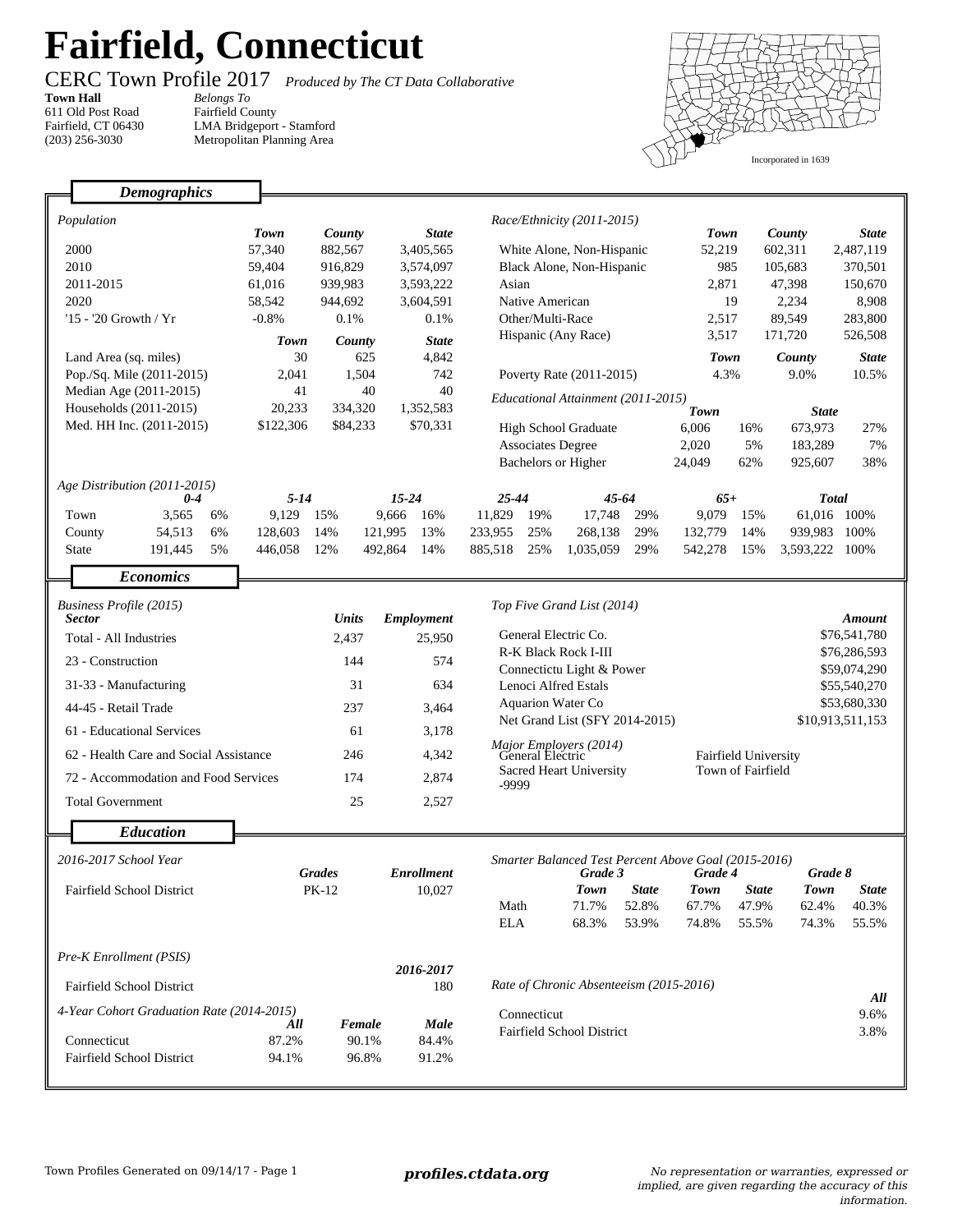## **Fairfield, Connecticut**

Fairfield County

LMA Bridgeport - Stamford Metropolitan Planning Area

**Town Hall** *Belongs To* 611 Old Post Road Fairfield, CT 06430 (203) 256-3030

CERC Town Profile 2017 *Produced by The CT Data Collaborative*



|                                  | <b>Demographics</b>                                     |                    |                       |                                  |                                                                                                                         |                                         |                       |                                                  |                       |                                |                              |
|----------------------------------|---------------------------------------------------------|--------------------|-----------------------|----------------------------------|-------------------------------------------------------------------------------------------------------------------------|-----------------------------------------|-----------------------|--------------------------------------------------|-----------------------|--------------------------------|------------------------------|
|                                  |                                                         |                    |                       |                                  |                                                                                                                         |                                         |                       |                                                  |                       |                                |                              |
| Population                       |                                                         | <b>Town</b>        | County                |                                  |                                                                                                                         | Race/Ethnicity (2011-2015)              |                       | <b>Town</b>                                      |                       | County                         | <b>State</b>                 |
|                                  | 2000                                                    | 57,340             | 882,567               | 3,405,565                        |                                                                                                                         | White Alone, Non-Hispanic               |                       | 52,219                                           |                       | 602,311                        | 2,487,119                    |
|                                  | 2010                                                    | 59,404             | 916,829               | 3,574,097                        |                                                                                                                         | Black Alone, Non-Hispanic               |                       |                                                  | 985<br>105,683        |                                | 370,501                      |
|                                  | 2011-2015                                               | 61,016             | 939,983               | 3,593,222                        | Asian                                                                                                                   |                                         |                       | 2,871<br>47,398                                  |                       | 150,670                        |                              |
|                                  | 2020                                                    | 58,542             | 944,692               | 3,604,591                        | Native American                                                                                                         |                                         |                       | 2,234<br>19                                      |                       | 8,908                          |                              |
|                                  | '15 - '20 Growth / Yr                                   | $-0.8%$            | 0.1%                  | 0.1%                             | Other/Multi-Race                                                                                                        |                                         | 2,517                 |                                                  | 89,549                | 283,800                        |                              |
|                                  |                                                         | Town               | County                | <b>State</b>                     | Hispanic (Any Race)                                                                                                     |                                         | 3,517                 |                                                  | 171,720               | 526,508                        |                              |
|                                  | Land Area (sq. miles)                                   | 30                 | 625                   | 4,842                            |                                                                                                                         |                                         |                       | <b>Town</b>                                      |                       | County                         | <b>State</b>                 |
|                                  | Pop./Sq. Mile (2011-2015)                               | 2,041              | 1,504                 | 742                              | Poverty Rate (2011-2015)                                                                                                |                                         | 4.3%                  |                                                  | 9.0%                  | 10.5%                          |                              |
|                                  | Median Age (2011-2015)                                  | 41                 | 40                    | 40                               | Educational Attainment (2011-2015)                                                                                      |                                         |                       |                                                  |                       |                                |                              |
|                                  | Households (2011-2015)                                  |                    | 20,233<br>334,320     |                                  |                                                                                                                         |                                         |                       | Town<br><b>State</b>                             |                       |                                |                              |
|                                  | Med. HH Inc. (2011-2015)                                |                    | \$122,306<br>\$84,233 |                                  | <b>High School Graduate</b>                                                                                             |                                         | 6,006                 | 16%                                              | 673,973               | 27%                            |                              |
|                                  |                                                         |                    |                       |                                  |                                                                                                                         | <b>Associates Degree</b>                |                       | 2,020                                            | 5%                    | 183,289                        | 7%                           |
|                                  |                                                         |                    |                       |                                  |                                                                                                                         | Bachelors or Higher                     |                       | 24,049                                           | 62%                   | 925,607                        | 38%                          |
|                                  | Age Distribution (2011-2015)                            |                    |                       |                                  |                                                                                                                         |                                         |                       |                                                  |                       |                                |                              |
|                                  | $0 - 4$                                                 | $5 - 14$           |                       | $15 - 24$                        | $25 - 44$                                                                                                               | $45 - 64$                               |                       | $65+$                                            |                       | <b>Total</b>                   |                              |
|                                  | Town<br>3,565<br>6%                                     | 9,129              | 15%                   | 9,666<br>16%                     | 11,829                                                                                                                  | 19%<br>17.748                           | 29%                   | 9,079                                            | 15%                   |                                | 61.016 100%                  |
|                                  | 54,513<br>6%<br>County<br>191,445<br>5%<br><b>State</b> | 128,603<br>446,058 | 14%<br>12%            | 121.995<br>13%<br>492,864<br>14% | 233,955<br>885,518                                                                                                      | 25%<br>268,138<br>25%<br>1,035,059      | 29%<br>29%            | 132,779<br>542,278                               | 14%<br>15%            | 939,983 100%<br>3,593,222 100% |                              |
|                                  |                                                         |                    |                       |                                  |                                                                                                                         |                                         |                       |                                                  |                       |                                |                              |
|                                  | <b>Economics</b>                                        |                    |                       |                                  |                                                                                                                         |                                         |                       |                                                  |                       |                                |                              |
| Business Profile (2015)          |                                                         |                    |                       |                                  |                                                                                                                         | Top Five Grand List (2014)              |                       |                                                  |                       |                                |                              |
| <b>Sector</b>                    |                                                         |                    | <b>Units</b>          | Employment                       |                                                                                                                         |                                         |                       |                                                  |                       |                                | <b>Amount</b>                |
| Total - All Industries           |                                                         |                    | 2,437                 | 25,950                           |                                                                                                                         | General Electric Co.                    |                       |                                                  |                       |                                | \$76,541,780                 |
|                                  | 23 - Construction                                       |                    | 144                   | 574                              | R-K Black Rock I-III<br>Connectictu Light & Power                                                                       |                                         |                       |                                                  |                       |                                | \$76,286,593<br>\$59,074,290 |
| 31-33 - Manufacturing            |                                                         |                    | 31                    | 634                              | Lenoci Alfred Estals                                                                                                    |                                         |                       | \$55,540,270                                     |                       |                                |                              |
|                                  | 44-45 - Retail Trade                                    |                    | 237                   | 3,464                            | <b>Aquarion Water Co</b>                                                                                                |                                         |                       |                                                  |                       |                                | \$53,680,330                 |
|                                  | 61 - Educational Services                               |                    | 61                    | 3,178                            | Net Grand List (SFY 2014-2015)<br>Major Employers (2014)<br>General Electric<br><b>Sacred Heart University</b><br>-9999 |                                         |                       |                                                  |                       |                                | \$10,913,511,153             |
|                                  | 62 - Health Care and Social Assistance                  |                    | 246                   | 4,342                            |                                                                                                                         |                                         |                       | <b>Fairfield University</b><br>Town of Fairfield |                       |                                |                              |
|                                  | 72 - Accommodation and Food Services                    |                    | 174                   | 2,874                            |                                                                                                                         |                                         |                       |                                                  |                       |                                |                              |
|                                  | <b>Total Government</b>                                 |                    | 25                    | 2,527                            |                                                                                                                         |                                         |                       |                                                  |                       |                                |                              |
|                                  | <b>Education</b>                                        |                    |                       |                                  |                                                                                                                         |                                         |                       |                                                  |                       |                                |                              |
|                                  |                                                         |                    |                       |                                  |                                                                                                                         |                                         |                       |                                                  |                       |                                |                              |
| 2016-2017 School Year            |                                                         |                    |                       |                                  | Smarter Balanced Test Percent Above Goal (2015-2016)<br>Grade 8                                                         |                                         |                       |                                                  |                       |                                |                              |
| <b>Fairfield School District</b> |                                                         |                    |                       |                                  |                                                                                                                         |                                         |                       |                                                  |                       |                                |                              |
|                                  |                                                         |                    | <b>Grades</b>         | <b>Enrollment</b>                |                                                                                                                         | Grade 3                                 |                       | Grade 4                                          |                       |                                |                              |
|                                  |                                                         |                    | $PK-12$               | 10,027                           | Math                                                                                                                    | <b>Town</b><br>71.7%                    | <b>State</b><br>52.8% | <b>Town</b><br>67.7%                             | <b>State</b><br>47.9% | <b>Town</b><br>62.4%           | <b>State</b><br>40.3%        |
|                                  |                                                         |                    |                       |                                  | <b>ELA</b>                                                                                                              | 68.3%                                   | 53.9%                 | 74.8%                                            | 55.5%                 | 74.3%                          | 55.5%                        |
|                                  |                                                         |                    |                       |                                  |                                                                                                                         |                                         |                       |                                                  |                       |                                |                              |
|                                  | Pre-K Enrollment (PSIS)                                 |                    |                       |                                  |                                                                                                                         |                                         |                       |                                                  |                       |                                |                              |
|                                  | <b>Fairfield School District</b>                        |                    |                       | 2016-2017<br>180                 |                                                                                                                         | Rate of Chronic Absenteeism (2015-2016) |                       |                                                  |                       |                                |                              |
|                                  | 4-Year Cohort Graduation Rate (2014-2015)               |                    |                       |                                  | Connecticut                                                                                                             |                                         |                       |                                                  |                       |                                | All<br>9.6%                  |
|                                  |                                                         | All                | <b>Female</b>         | Male                             |                                                                                                                         | <b>Fairfield School District</b>        |                       |                                                  |                       |                                | 3.8%                         |
|                                  | Connecticut<br>Fairfield School District                | 87.2%<br>94.1%     | 90.1%<br>96.8%        | 84.4%<br>91.2%                   |                                                                                                                         |                                         |                       |                                                  |                       |                                |                              |